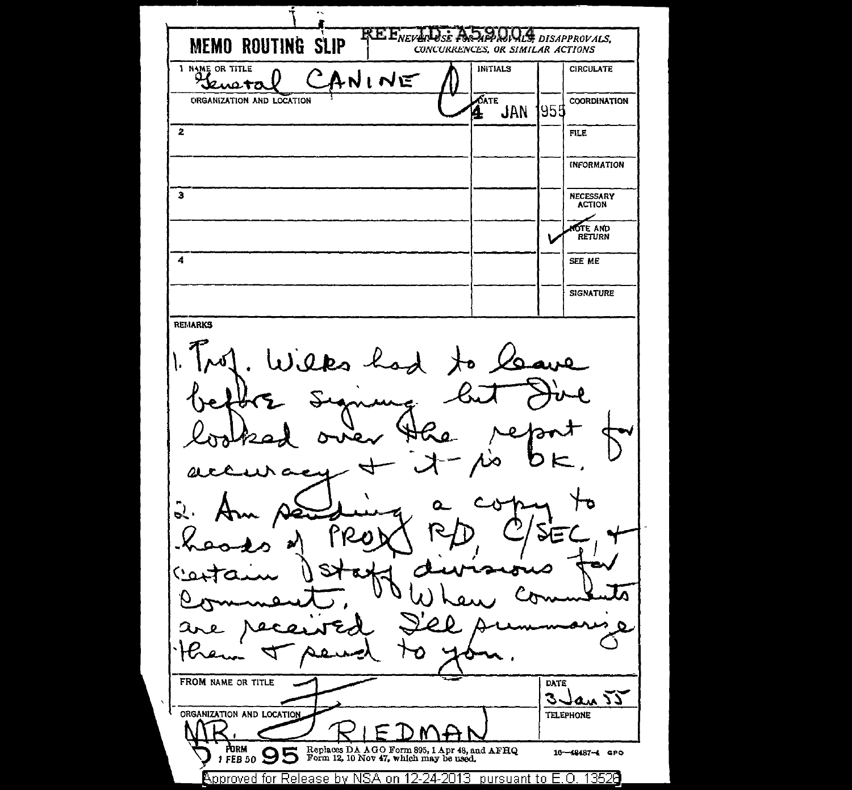≂  $\overline{\mathbf{R}}\overline{\mathbf{E}}$ ,  $\overline{\mathbf{E}}_{verz}$  $\mathcal{H}$  *DISAPPROVALS* **MEMO ROUTING SLIP** CONCURRENCES, OR SIMILAR ACTIONS I NAME OR TITLE **INITIALS CIRCULATE** ANINE Leugta  $\overline{\delta}$ ate **ORGANIZATION AND LOCATION COORDINATION JAN** 1955 Ø.  $\overline{2}$  $\overline{F^{\text{H}}F}$ **INFORMATION**  $\overline{\mathbf{3}}$ NECESSARY<br>ACTION **OTE AND**<br>RETURN Ł  $\overline{A}$ SEE ME **SIGNATURE REMARKS** Wilks has മ  $\overline{\mathcal{L}}$ . FROM NAME OR TITLE **DATE** 3 Jan 55 ORGANIZATION AND LOCATION **TELEPHONE** Replaces DA AGO Form 895, 1 Apr 48, and AFHQ<br>Form 12, 10 Nov 47, which may be used. FORM 1 FEB 50 95 16-48487-4 GPO  $\beta$ pproved for Release by NSA on 12-24-2013 (pursuant to E.O. 13526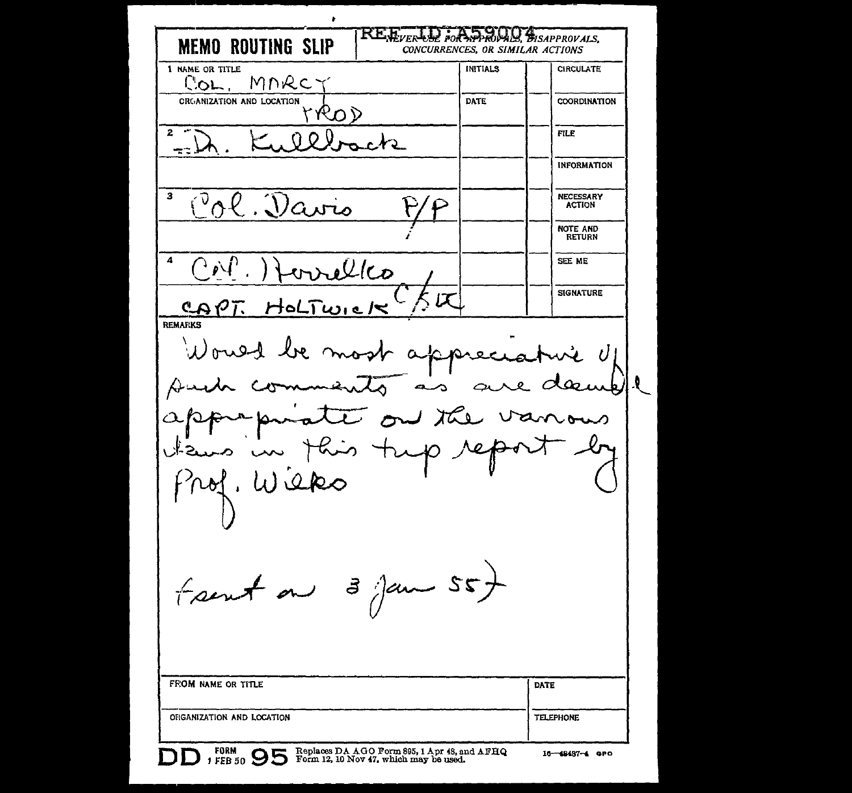$\bullet$ **REE**VERLY M WISAPPROVALS. **MEMO ROUTING SLIP** CONCURRENCES, OR SIMILAR ACTIONS 1 NAME OR TITLE **INITIALS CIRCULATE** MNRC. **COL** CRGANIZATION AND LOCATION DATE **COORDINATION** rrod **FILE** Ollock **INFORMATION**  $\mathbf{z}$ Ol. Davis **NECESSARY ACTION** NOTE AND **RETURN**  $\boldsymbol{A}$ SEE ME  $\mathcal L$ lco **SIGNATURE**  $QQ$ HoL REMARKS Would be most appreciat i U deauppl Duch vanous to our the prapa  $\uparrow$  then tup  $\sim$ nof. Wieko frent on 3 Jan 55) FROM NAME OR TITLE **DATE** ORGANIZATION AND LOCATION **TELEPHONE** FORM PEB 50 S Geplaces DA AGO Form 895, 1 Apr 48, and AFHQ 16-48437-4 GPO